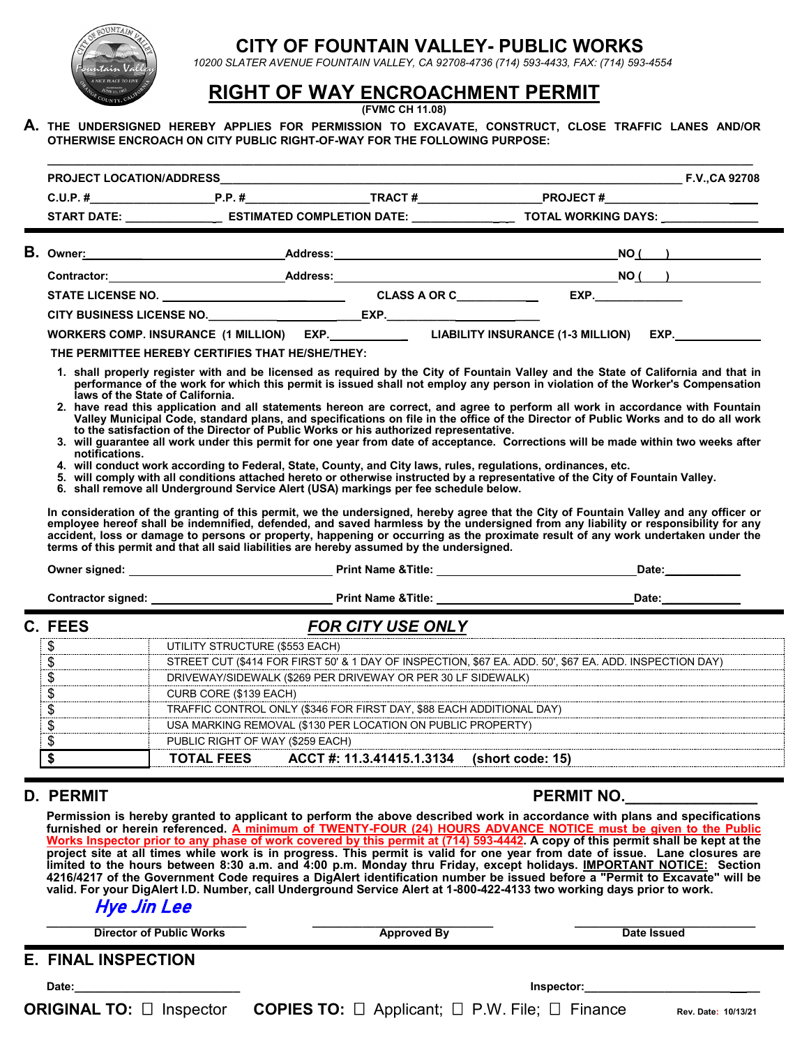

## **CITY OF FOUNTAIN VALLEY- PUBLIC WORKS**

 *10200 SLATER AVENUE FOUNTAIN VALLEY, CA 92708-4736 (714) 593-4433, FAX: (714) 593-4554*

## **RIGHT OF WAY ENCROACHMENT PERMIT**

**(FVMC CH 11.08)**

**A. THE UNDERSIGNED HEREBY APPLIES FOR PERMISSION TO EXCAVATE, CONSTRUCT, CLOSE TRAFFIC LANES AND/OR OTHERWISE ENCROACH ON CITY PUBLIC RIGHT-OF-WAY FOR THE FOLLOWING PURPOSE:**

|                                                                                 |                                                                                                                                                                                                                                                                                                                                                                                             |                          | START DATE: _________________________ ESTIMATED COMPLETION DATE: ___________________________________ TOTAL WORKING DAYS: __________                                                                                                                                                                                                                                                                                                                                                                                                                                                                                                                                                                                                                                                                                                                                                                                                                             |  |  |  |
|---------------------------------------------------------------------------------|---------------------------------------------------------------------------------------------------------------------------------------------------------------------------------------------------------------------------------------------------------------------------------------------------------------------------------------------------------------------------------------------|--------------------------|-----------------------------------------------------------------------------------------------------------------------------------------------------------------------------------------------------------------------------------------------------------------------------------------------------------------------------------------------------------------------------------------------------------------------------------------------------------------------------------------------------------------------------------------------------------------------------------------------------------------------------------------------------------------------------------------------------------------------------------------------------------------------------------------------------------------------------------------------------------------------------------------------------------------------------------------------------------------|--|--|--|
|                                                                                 |                                                                                                                                                                                                                                                                                                                                                                                             |                          |                                                                                                                                                                                                                                                                                                                                                                                                                                                                                                                                                                                                                                                                                                                                                                                                                                                                                                                                                                 |  |  |  |
|                                                                                 |                                                                                                                                                                                                                                                                                                                                                                                             |                          |                                                                                                                                                                                                                                                                                                                                                                                                                                                                                                                                                                                                                                                                                                                                                                                                                                                                                                                                                                 |  |  |  |
|                                                                                 |                                                                                                                                                                                                                                                                                                                                                                                             |                          |                                                                                                                                                                                                                                                                                                                                                                                                                                                                                                                                                                                                                                                                                                                                                                                                                                                                                                                                                                 |  |  |  |
|                                                                                 |                                                                                                                                                                                                                                                                                                                                                                                             |                          |                                                                                                                                                                                                                                                                                                                                                                                                                                                                                                                                                                                                                                                                                                                                                                                                                                                                                                                                                                 |  |  |  |
|                                                                                 |                                                                                                                                                                                                                                                                                                                                                                                             |                          |                                                                                                                                                                                                                                                                                                                                                                                                                                                                                                                                                                                                                                                                                                                                                                                                                                                                                                                                                                 |  |  |  |
|                                                                                 |                                                                                                                                                                                                                                                                                                                                                                                             |                          | WORKERS COMP. INSURANCE (1 MILLION) EXP.____________________LIABILITY INSURANCE (1-3 MILLION) EXP.__                                                                                                                                                                                                                                                                                                                                                                                                                                                                                                                                                                                                                                                                                                                                                                                                                                                            |  |  |  |
|                                                                                 | THE PERMITTEE HEREBY CERTIFIES THAT HE/SHE/THEY:                                                                                                                                                                                                                                                                                                                                            |                          |                                                                                                                                                                                                                                                                                                                                                                                                                                                                                                                                                                                                                                                                                                                                                                                                                                                                                                                                                                 |  |  |  |
| notifications.                                                                  | to the satisfaction of the Director of Public Works or his authorized representative.<br>4. will conduct work according to Federal, State, County, and City laws, rules, regulations, ordinances, etc.<br>6. shall remove all Underground Service Alert (USA) markings per fee schedule below.<br>terms of this permit and that all said liabilities are hereby assumed by the undersigned. |                          | 2. have read this application and all statements hereon are correct, and agree to perform all work in accordance with Fountain<br>Valley Municipal Code, standard plans, and specifications on file in the office of the Director of Public Works and to do all work<br>3. will guarantee all work under this permit for one year from date of acceptance. Corrections will be made within two weeks after<br>5. will comply with all conditions attached hereto or otherwise instructed by a representative of the City of Fountain Valley.<br>In consideration of the granting of this permit, we the undersigned, hereby agree that the City of Fountain Valley and any officer or<br>employee hereof shall be indemnified, defended, and saved harmless by the undersigned from any liability or responsibility for any<br>accident, loss or damage to persons or property, happening or occurring as the proximate result of any work undertaken under the |  |  |  |
|                                                                                 |                                                                                                                                                                                                                                                                                                                                                                                             |                          |                                                                                                                                                                                                                                                                                                                                                                                                                                                                                                                                                                                                                                                                                                                                                                                                                                                                                                                                                                 |  |  |  |
|                                                                                 | <u> 1989 - Jan Sterner Sterner van die Sterne van die Sterne van die Sterne van die Sterne van die Sterne van die</u>                                                                                                                                                                                                                                                                       |                          |                                                                                                                                                                                                                                                                                                                                                                                                                                                                                                                                                                                                                                                                                                                                                                                                                                                                                                                                                                 |  |  |  |
| C. FEES                                                                         |                                                                                                                                                                                                                                                                                                                                                                                             | <b>FOR CITY USE ONLY</b> |                                                                                                                                                                                                                                                                                                                                                                                                                                                                                                                                                                                                                                                                                                                                                                                                                                                                                                                                                                 |  |  |  |
| \$                                                                              | UTILITY STRUCTURE (\$553 EACH)                                                                                                                                                                                                                                                                                                                                                              |                          |                                                                                                                                                                                                                                                                                                                                                                                                                                                                                                                                                                                                                                                                                                                                                                                                                                                                                                                                                                 |  |  |  |
| \$                                                                              | STREET CUT (\$414 FOR FIRST 50' & 1 DAY OF INSPECTION, \$67 EA. ADD. 50', \$67 EA. ADD. INSPECTION DAY)                                                                                                                                                                                                                                                                                     |                          |                                                                                                                                                                                                                                                                                                                                                                                                                                                                                                                                                                                                                                                                                                                                                                                                                                                                                                                                                                 |  |  |  |
| $\overline{\$}$<br>DRIVEWAY/SIDEWALK (\$269 PER DRIVEWAY OR PER 30 LF SIDEWALK) |                                                                                                                                                                                                                                                                                                                                                                                             |                          |                                                                                                                                                                                                                                                                                                                                                                                                                                                                                                                                                                                                                                                                                                                                                                                                                                                                                                                                                                 |  |  |  |
| $\sqrt{\frac{2}{3}}$                                                            | CURB CORE (\$139 EACH)                                                                                                                                                                                                                                                                                                                                                                      |                          |                                                                                                                                                                                                                                                                                                                                                                                                                                                                                                                                                                                                                                                                                                                                                                                                                                                                                                                                                                 |  |  |  |
| $\overline{\mathcal{S}}$                                                        | TRAFFIC CONTROL ONLY (\$346 FOR FIRST DAY, \$88 EACH ADDITIONAL DAY)<br>USA MARKING REMOVAL (\$130 PER LOCATION ON PUBLIC PROPERTY)                                                                                                                                                                                                                                                         |                          |                                                                                                                                                                                                                                                                                                                                                                                                                                                                                                                                                                                                                                                                                                                                                                                                                                                                                                                                                                 |  |  |  |
| \$                                                                              |                                                                                                                                                                                                                                                                                                                                                                                             |                          |                                                                                                                                                                                                                                                                                                                                                                                                                                                                                                                                                                                                                                                                                                                                                                                                                                                                                                                                                                 |  |  |  |
| $\overline{\$}$                                                                 | PUBLIC RIGHT OF WAY (\$259 EACH)                                                                                                                                                                                                                                                                                                                                                            |                          |                                                                                                                                                                                                                                                                                                                                                                                                                                                                                                                                                                                                                                                                                                                                                                                                                                                                                                                                                                 |  |  |  |
| $\overline{\boldsymbol{\mathsf{s}}}$                                            |                                                                                                                                                                                                                                                                                                                                                                                             |                          | TOTAL FEES ACCT #: 11.3.41415.1.3134 (short code: 15)                                                                                                                                                                                                                                                                                                                                                                                                                                                                                                                                                                                                                                                                                                                                                                                                                                                                                                           |  |  |  |
| D. PERMIT                                                                       |                                                                                                                                                                                                                                                                                                                                                                                             |                          | <b>PERMIT NO.</b>                                                                                                                                                                                                                                                                                                                                                                                                                                                                                                                                                                                                                                                                                                                                                                                                                                                                                                                                               |  |  |  |

**Permission is hereby granted to applicant to perform the above described work in accordance with plans and specifications furnished or herein referenced. A minimum of TWENTY-FOUR (24) HOURS ADVANCE NOTICE must be given to the Public Works Inspector prior to any phase of work covered by this permit at (714) 593-4442. A copy of this permit shall be kept at the project site at all times while work is in progress. This permit is valid for one year from date of issue. Lane closures are limited to the hours between 8:30 a.m. and 4:00 p.m. Monday thru Friday, except holidays. IMPORTANT NOTICE: Section 4216/4217 of the Government Code requires a DigAlert identification number be issued before a "Permit to Excavate" will be valid. For your DigAlert I.D. Number, call Underground Service Alert at 1-800-422-4133 two working days prior to work.**

## Hye Jin Lee

| <b>Director of Public Works</b> | <b>Approved By</b>                                                   | Date Issued         |
|---------------------------------|----------------------------------------------------------------------|---------------------|
| <b>E. FINAL INSPECTION</b>      |                                                                      |                     |
| Date:                           | Inspector:                                                           |                     |
| <b>ORIGINAL TO:</b> □ Inspector | <b>COPIES TO:</b> $\Box$ Applicant; $\Box$ P.W. File; $\Box$ Finance | Rev. Date: 10/13/21 |